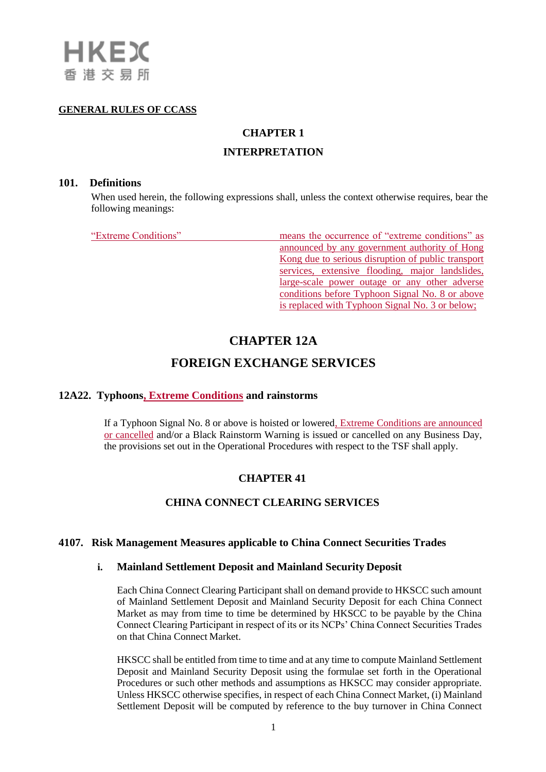#### **GENERAL RULES OF CCASS**

# **CHAPTER 1**

## **INTERPRETATION**

#### **101. Definitions**

When used herein, the following expressions shall, unless the context otherwise requires, bear the following meanings:

"Extreme Conditions" means the occurrence of "extreme conditions" as announced by any government authority of Hong Kong due to serious disruption of public transport services, extensive flooding, major landslides, large-scale power outage or any other adverse conditions before Typhoon Signal No. 8 or above is replaced with Typhoon Signal No. 3 or below;

# **CHAPTER 12A**

# **FOREIGN EXCHANGE SERVICES**

## **12A22. Typhoons, Extreme Conditions and rainstorms**

If a Typhoon Signal No. 8 or above is hoisted or lowered, Extreme Conditions are announced or cancelled and/or a Black Rainstorm Warning is issued or cancelled on any Business Day, the provisions set out in the Operational Procedures with respect to the TSF shall apply.

## **CHAPTER 41**

## **CHINA CONNECT CLEARING SERVICES**

## **4107. Risk Management Measures applicable to China Connect Securities Trades**

### **i. Mainland Settlement Deposit and Mainland Security Deposit**

Each China Connect Clearing Participant shall on demand provide to HKSCC such amount of Mainland Settlement Deposit and Mainland Security Deposit for each China Connect Market as may from time to time be determined by HKSCC to be payable by the China Connect Clearing Participant in respect of its or its NCPs' China Connect Securities Trades on that China Connect Market.

HKSCC shall be entitled from time to time and at any time to compute Mainland Settlement Deposit and Mainland Security Deposit using the formulae set forth in the Operational Procedures or such other methods and assumptions as HKSCC may consider appropriate. Unless HKSCC otherwise specifies, in respect of each China Connect Market, (i) Mainland Settlement Deposit will be computed by reference to the buy turnover in China Connect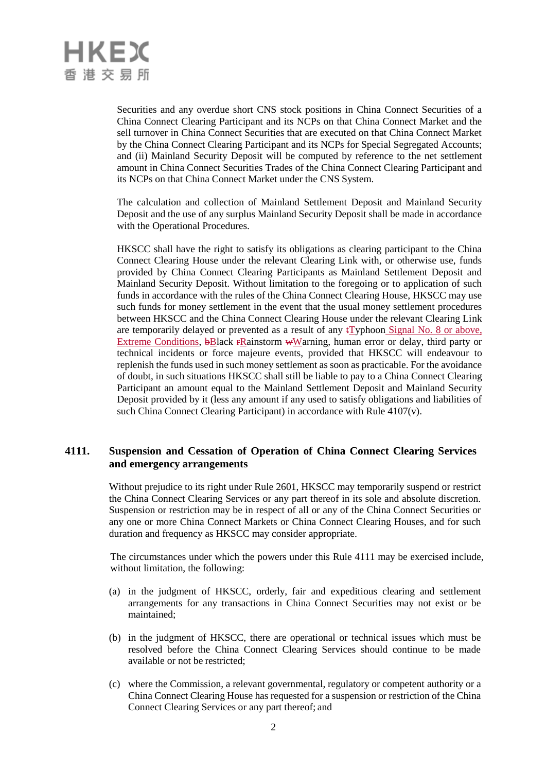

Securities and any overdue short CNS stock positions in China Connect Securities of a China Connect Clearing Participant and its NCPs on that China Connect Market and the sell turnover in China Connect Securities that are executed on that China Connect Market by the China Connect Clearing Participant and its NCPs for Special Segregated Accounts; and (ii) Mainland Security Deposit will be computed by reference to the net settlement amount in China Connect Securities Trades of the China Connect Clearing Participant and its NCPs on that China Connect Market under the CNS System.

The calculation and collection of Mainland Settlement Deposit and Mainland Security Deposit and the use of any surplus Mainland Security Deposit shall be made in accordance with the Operational Procedures.

HKSCC shall have the right to satisfy its obligations as clearing participant to the China Connect Clearing House under the relevant Clearing Link with, or otherwise use, funds provided by China Connect Clearing Participants as Mainland Settlement Deposit and Mainland Security Deposit. Without limitation to the foregoing or to application of such funds in accordance with the rules of the China Connect Clearing House, HKSCC may use such funds for money settlement in the event that the usual money settlement procedures between HKSCC and the China Connect Clearing House under the relevant Clearing Link are temporarily delayed or prevented as a result of any  $\{\text{Typloon}\}_{\text{signal}}$  No. 8 or above, Extreme Conditions, bBlack rRainstorm wWarning, human error or delay, third party or technical incidents or force majeure events, provided that HKSCC will endeavour to replenish the funds used in such money settlement as soon as practicable. For the avoidance of doubt, in such situations HKSCC shall still be liable to pay to a China Connect Clearing Participant an amount equal to the Mainland Settlement Deposit and Mainland Security Deposit provided by it (less any amount if any used to satisfy obligations and liabilities of such China Connect Clearing Participant) in accordance with Rule 4107(v).

#### **4111. Suspension and Cessation of Operation of China Connect Clearing Services and emergency arrangements**

Without prejudice to its right under Rule 2601, HKSCC may temporarily suspend or restrict the China Connect Clearing Services or any part thereof in its sole and absolute discretion. Suspension or restriction may be in respect of all or any of the China Connect Securities or any one or more China Connect Markets or China Connect Clearing Houses, and for such duration and frequency as HKSCC may consider appropriate.

The circumstances under which the powers under this Rule 4111 may be exercised include, without limitation, the following:

- (a) in the judgment of HKSCC, orderly, fair and expeditious clearing and settlement arrangements for any transactions in China Connect Securities may not exist or be maintained;
- (b) in the judgment of HKSCC, there are operational or technical issues which must be resolved before the China Connect Clearing Services should continue to be made available or not be restricted;
- (c) where the Commission, a relevant governmental, regulatory or competent authority or a China Connect Clearing House has requested for a suspension or restriction of the China Connect Clearing Services or any part thereof; and